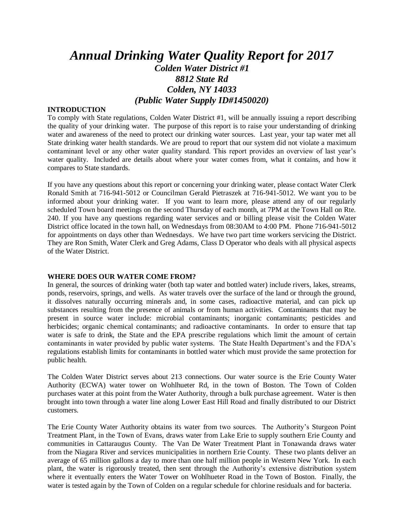# *Annual Drinking Water Quality Report for 2017 Colden Water District #1 8812 State Rd Colden, NY 14033 (Public Water Supply ID#1450020)*

#### **INTRODUCTION**

To comply with State regulations, Colden Water District #1, will be annually issuing a report describing the quality of your drinking water. The purpose of this report is to raise your understanding of drinking water and awareness of the need to protect our drinking water sources. Last year, your tap water met all State drinking water health standards. We are proud to report that our system did not violate a maximum contaminant level or any other water quality standard. This report provides an overview of last year's water quality. Included are details about where your water comes from, what it contains, and how it compares to State standards.

If you have any questions about this report or concerning your drinking water, please contact Water Clerk Ronald Smith at 716-941-5012 or Councilman Gerald Pietraszek at 716-941-5012. We want you to be informed about your drinking water. If you want to learn more, please attend any of our regularly scheduled Town board meetings on the second Thursday of each month, at 7PM at the Town Hall on Rte. 240. If you have any questions regarding water services and or billing please visit the Colden Water District office located in the town hall, on Wednesdays from 08:30AM to 4:00 PM. Phone 716-941-5012 for appointments on days other than Wednesdays. We have two part time workers servicing the District. They are Ron Smith, Water Clerk and Greg Adams, Class D Operator who deals with all physical aspects of the Water District.

#### **WHERE DOES OUR WATER COME FROM?**

In general, the sources of drinking water (both tap water and bottled water) include rivers, lakes, streams, ponds, reservoirs, springs, and wells. As water travels over the surface of the land or through the ground, it dissolves naturally occurring minerals and, in some cases, radioactive material, and can pick up substances resulting from the presence of animals or from human activities. Contaminants that may be present in source water include: microbial contaminants; inorganic contaminants; pesticides and herbicides; organic chemical contaminants; and radioactive contaminants. In order to ensure that tap water is safe to drink, the State and the EPA prescribe regulations which limit the amount of certain contaminants in water provided by public water systems. The State Health Department's and the FDA's regulations establish limits for contaminants in bottled water which must provide the same protection for public health.

The Colden Water District serves about 213 connections. Our water source is the Erie County Water Authority (ECWA) water tower on Wohlhueter Rd, in the town of Boston. The Town of Colden purchases water at this point from the Water Authority, through a bulk purchase agreement. Water is then brought into town through a water line along Lower East Hill Road and finally distributed to our District customers.

The Erie County Water Authority obtains its water from two sources. The Authority's Sturgeon Point Treatment Plant, in the Town of Evans, draws water from Lake Erie to supply southern Erie County and communities in Cattaraugus County. The Van De Water Treatment Plant in Tonawanda draws water from the Niagara River and services municipalities in northern Erie County. These two plants deliver an average of 65 million gallons a day to more than one half million people in Western New York. In each plant, the water is rigorously treated, then sent through the Authority's extensive distribution system where it eventually enters the Water Tower on Wohlhueter Road in the Town of Boston. Finally, the water is tested again by the Town of Colden on a regular schedule for chlorine residuals and for bacteria.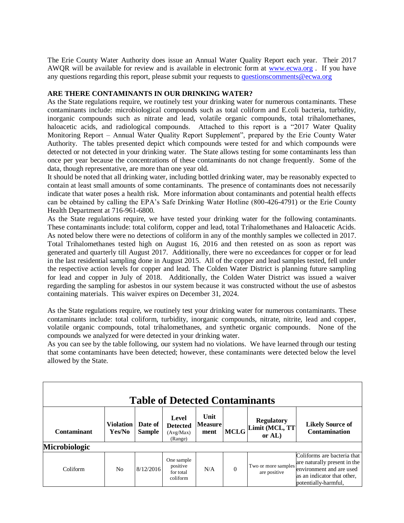The Erie County Water Authority does issue an Annual Water Quality Report each year. Their 2017 AWQR will be available for review and is available in electronic form at [www.ecwa.org](http://www.ecwa.org/) . If you have any questions regarding this report, please submit your requests to [questionscomments@ecwa.org](mailto:questionscomments@ecwa.org)

#### **ARE THERE CONTAMINANTS IN OUR DRINKING WATER?**

As the State regulations require, we routinely test your drinking water for numerous contaminants. These contaminants include: microbiological compounds such as total coliform and E.coli bacteria, turbidity, inorganic compounds such as nitrate and lead, volatile organic compounds, total trihalomethanes, haloacetic acids, and radiological compounds. Attached to this report is a "2017 Water Quality" Monitoring Report – Annual Water Quality Report Supplement", prepared by the Erie County Water Authority. The tables presented depict which compounds were tested for and which compounds were detected or not detected in your drinking water. The State allows testing for some contaminants less than once per year because the concentrations of these contaminants do not change frequently. Some of the data, though representative, are more than one year old.

It should be noted that all drinking water, including bottled drinking water, may be reasonably expected to contain at least small amounts of some contaminants. The presence of contaminants does not necessarily indicate that water poses a health risk. More information about contaminants and potential health effects can be obtained by calling the EPA's Safe Drinking Water Hotline (800-426-4791) or the Erie County Health Department at 716-961-6800.

As the State regulations require, we have tested your drinking water for the following contaminants. These contaminants include: total coliform, copper and lead, total Trihalomethanes and Haloacetic Acids. As noted below there were no detections of coliform in any of the monthly samples we collected in 2017. Total Trihalomethanes tested high on August 16, 2016 and then retested on as soon as report was generated and quarterly till August 2017. Additionally, there were no exceedances for copper or for lead in the last residential sampling done in August 2015. All of the copper and lead samples tested, fell under the respective action levels for copper and lead. The Colden Water District is planning future sampling for lead and copper in July of 2018. Additionally, the Colden Water District was issued a waiver regarding the sampling for asbestos in our system because it was constructed without the use of asbestos containing materials. This waiver expires on December 31, 2024.

As the State regulations require, we routinely test your drinking water for numerous contaminants. These contaminants include: total coliform, turbidity, inorganic compounds, nitrate, nitrite, lead and copper, volatile organic compounds, total trihalomethanes, and synthetic organic compounds. None of the compounds we analyzed for were detected in your drinking water.

As you can see by the table following, our system had no violations. We have learned through our testing that some contaminants have been detected; however, these contaminants were detected below the level allowed by the State.

| <b>Table of Detected Contaminants</b> |                            |                          |                                                  |                                |             |                                                  |                                                                                                                                                |  |  |  |
|---------------------------------------|----------------------------|--------------------------|--------------------------------------------------|--------------------------------|-------------|--------------------------------------------------|------------------------------------------------------------------------------------------------------------------------------------------------|--|--|--|
| Contaminant                           | <b>Violation</b><br>Yes/No | Date of<br><b>Sample</b> | Level<br><b>Detected</b><br>(Avg/Max)<br>(Range) | Unit<br><b>Measure</b><br>ment | <b>MCLG</b> | <b>Regulatory</b><br>Limit (MCL, TT<br>or $AL$ ) | <b>Likely Source of</b><br><b>Contamination</b>                                                                                                |  |  |  |
| Microbiologic                         |                            |                          |                                                  |                                |             |                                                  |                                                                                                                                                |  |  |  |
| Coliform                              | N <sub>0</sub>             | 8/12/2016                | One sample<br>positive<br>for total<br>coliform  | N/A                            | $\Omega$    | Two or more samples<br>are positive              | Coliforms are bacteria that<br>are naturally present in the<br>environment and are used<br>as an indicator that other,<br>potentially-harmful, |  |  |  |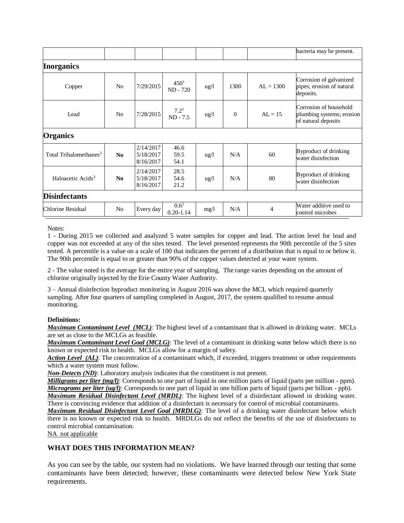|                                    |                |                                     |                                |                 |          |             | bacteria may be present.                                                   |
|------------------------------------|----------------|-------------------------------------|--------------------------------|-----------------|----------|-------------|----------------------------------------------------------------------------|
| <b>Inorganics</b>                  |                |                                     |                                |                 |          |             |                                                                            |
| Copper                             | N <sub>0</sub> | 7/29/2015                           | 450 <sup>1</sup><br>$ND - 720$ | ug/l            | 1300     | $AL = 1300$ | Corrosion of galvanized<br>pipes; erosion of natural<br>deposits.          |
| Lead                               | N <sub>0</sub> | 7/28/2015                           | 7.2 <sup>1</sup><br>$ND - 7.5$ | ug/l            | $\theta$ | $AL = 15$   | Corrosion of household<br>plumbing systems; erosion<br>of natural deposits |
| <b>Organics</b>                    |                |                                     |                                |                 |          |             |                                                                            |
| Total Trihalomethanes <sup>3</sup> | No             | 2/14/2017<br>5/18/2017<br>8/16/2017 | 46.6<br>59.5<br>54.1           | $\frac{1}{2}$   | N/A      | 60          | Byproduct of drinking<br>water disinfection                                |
| Haloacetic Acids <sup>3</sup>      | No             | 2/14/2017<br>5/18/2017<br>8/16/2017 | 28.5<br>54.6<br>21.2           | $\frac{u g}{l}$ | N/A      | 80          | Byproduct of drinking<br>water disinfection                                |
| <b>Disinfectants</b>               |                |                                     |                                |                 |          |             |                                                                            |
| Chlorine Residual                  | N <sub>o</sub> | Every day                           | $0.6^2$<br>$0.20 - 1.14$       | mg/1            | N/A      | 4           | Water additive used to<br>control microbes                                 |

Notes:

1 - During 2015 we collected and analyzed 5 water samples for copper and lead. The action level for lead and copper was not exceeded at any of the sites tested. The level presented represents the 90th percentile of the 5 sites tested. A percentile is a value on a scale of 100 that indicates the percent of a distribution that is equal to or below it. The 90th percentile is equal to or greater than 90% of the copper values detected at your water system.

2 - The value noted is the average for the entire year of sampling. The range varies depending on the amount of chlorine originally injected by the Erie County Water Authority.

3 – Annual disinfection byproduct monitoring in August 2016 was above the MCL which required quarterly sampling. After four quarters of sampling completed in August, 2017, the system qualified to resume annual monitoring.

#### **Definitions:**

*Maximum Contaminant Level (MCL)*: The highest level of a contaminant that is allowed in drinking water. MCLs are set as close to the MCLGs as feasible.

*Maximum Contaminant Level Goal (MCLG)*: The level of a contaminant in drinking water below which there is no known or expected risk to health. MCLGs allow for a margin of safety.

*Action Level (AL)*: The concentration of a contaminant which, if exceeded, triggers treatment or other requirements which a water system must follow.

*Non-Detects (ND)*: Laboratory analysis indicates that the constituent is not present.

*Milligrams per liter (mg/l)*: Corresponds to one part of liquid in one million parts of liquid (parts per million - ppm). *Micrograms per liter (ug/l)*: Corresponds to one part of liquid in one billion parts of liquid (parts per billion - ppb).

*Maximum Residual Disinfectant Level (MRDL)*: The highest level of a disinfectant allowed in drinking water. There is convincing evidence that addition of a disinfectant is necessary for control of microbial contaminants.

*Maximum Residual Disinfectant Level Goal (MRDLG)*: The level of a drinking water disinfectant below which there is no known or expected risk to health. MRDLGs do not reflect the benefits of the use of disinfectants to control microbial contamination.

NA not applicable

## **WHAT DOES THIS INFORMATION MEAN?**

As you can see by the table, our system had no violations. We have learned through our testing that some contaminants have been detected; however, these contaminants were detected below New York State requirements.